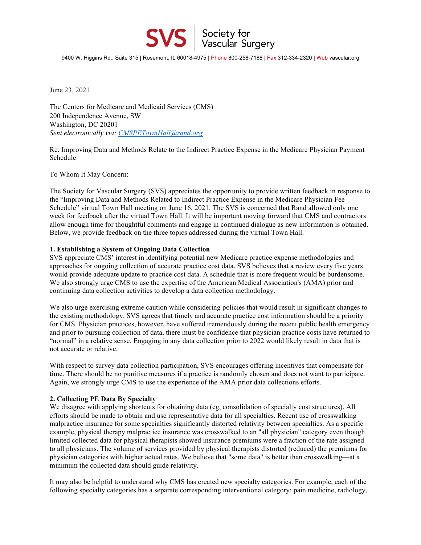9400 W. Higgins Rd., Suite 315 | Rosemont, IL 60018-4975 | Phone 800-258-7188 | Fax 312-334-2320 | Web vascular.org

**SVS** Society for<br>Vascular Surgery

June 23, 2021

The Centers for Medicare and Medicaid Services (CMS) 200 Independence Avenue, SW Washington, DC 20201 *Sent electronically via: CMSPETownHall@rand.org*

Re: Improving Data and Methods Relate to the Indirect Practice Expense in the Medicare Physician Payment Schedule

To Whom It May Concern:

The Society for Vascular Surgery (SVS) appreciates the opportunity to provide written feedback in response to the "Improving Data and Methods Related to Indirect Practice Expense in the Medicare Physician Fee Schedule" virtual Town Hall meeting on June 16, 2021. The SVS is concerned that Rand allowed only one week for feedback after the virtual Town Hall. It will be important moving forward that CMS and contractors allow enough time for thoughtful comments and engage in continued dialogue as new information is obtained. Below, we provide feedback on the three topics addressed during the virtual Town Hall.

## **1. Establishing a System of Ongoing Data Collection**

SVS appreciate CMS' interest in identifying potential new Medicare practice expense methodologies and approaches for ongoing collection of accurate practice cost data. SVS believes that a review every five years would provide adequate update to practice cost data. A schedule that is more frequent would be burdensome. We also strongly urge CMS to use the expertise of the American Medical Association's (AMA) prior and continuing data collection activities to develop a data collection methodology.

We also urge exercising extreme caution while considering policies that would result in significant changes to the existing methodology. SVS agrees that timely and accurate practice cost information should be a priority for CMS. Physician practices, however, have suffered tremendously during the recent public health emergency and prior to pursuing collection of data, there must be confidence that physician practice costs have returned to "normal" in a relative sense. Engaging in any data collection prior to 2022 would likely result in data that is not accurate or relative.

With respect to survey data collection participation, SVS encourages offering incentives that compensate for time. There should be no punitive measures if a practice is randomly chosen and does not want to participate. Again, we strongly urge CMS to use the experience of the AMA prior data collections efforts.

## **2. Collecting PE Data By Specialty**

We disagree with applying shortcuts for obtaining data (eg, consolidation of specialty cost structures). All efforts should be made to obtain and use representative data for all specialties. Recent use of crosswalking malpractice insurance for some specialties significantly distorted relativity between specialties. As a specific example, physical therapy malpractice insurance was crosswalked to an "all physician" category even though limited collected data for physical therapists showed insurance premiums were a fraction of the rate assigned to all physicians. The volume of services provided by physical therapists distorted (reduced) the premiums for physician categories with higher actual rates. We believe that "some data" is better than crosswalking—at a minimum the collected data should guide relativity.

It may also be helpful to understand why CMS has created new specialty categories. For example, each of the following specialty categories has a separate corresponding interventional category: pain medicine, radiology,